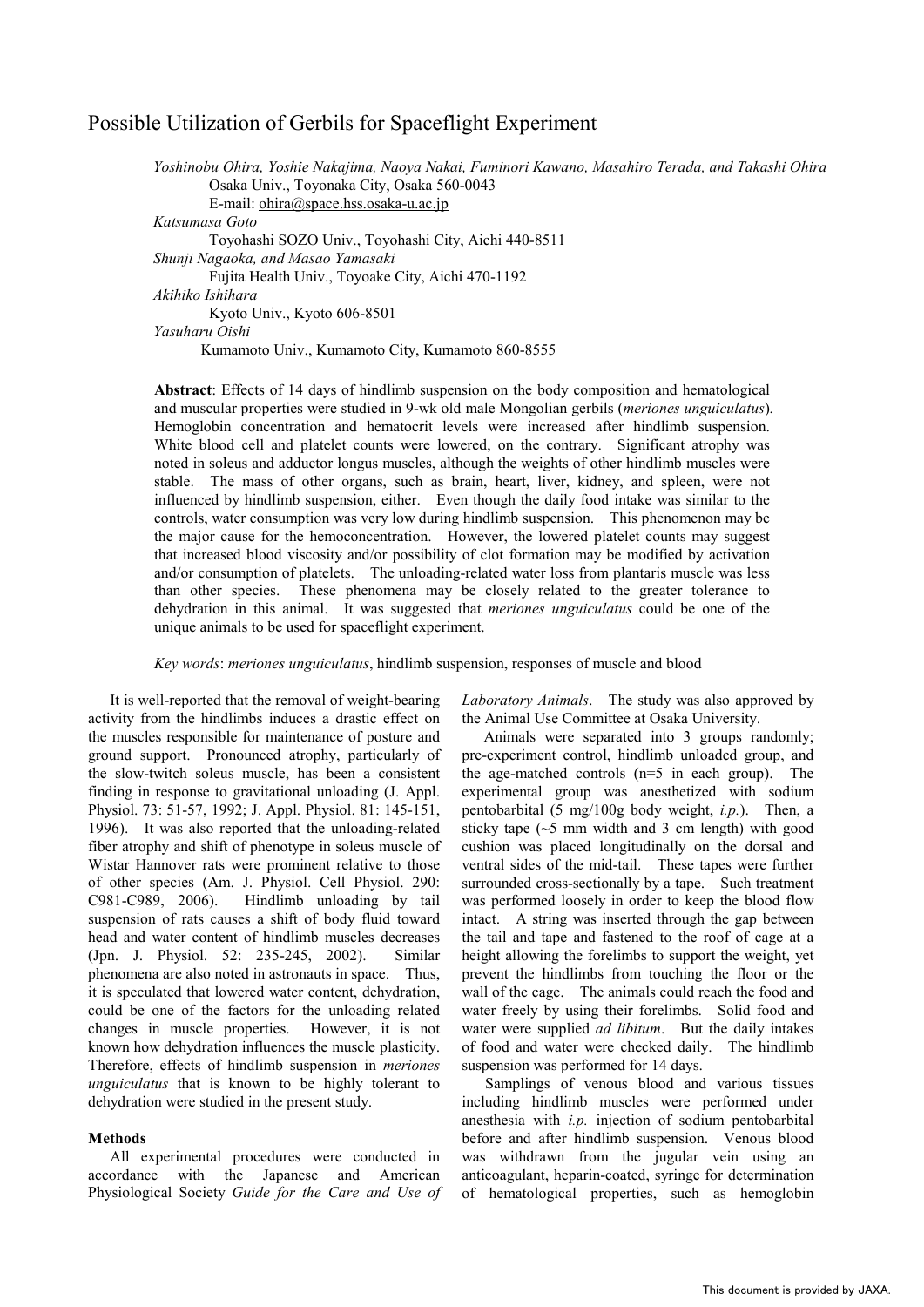## Possible Utilization of Gerbils for Spaceflight Experiment

Yoshinobu Ohira, Yoshie Nakajima, Naoya Nakai, Fuminori Kawano, Masahiro Terada, and Takashi Ohira Osaka Univ., Toyonaka City, Osaka 560-0043 E-mail: ohira@space.hss.osaka-u.ac.jp *Katsumasa Goto*  Toyohashi SOZO Univ., Toyohashi City, Aichi 440-8511 **Shunji Nagaoka, and Masao Yamasaki** Fujita Health Univ., Toyoake City, Aichi 470-1192 *Akihiko Ishihara*  Kyoto Univ., Kyoto 606-8501 *Yasuharu Oishi*  Kumamoto Univ., Kumamoto City, Kumamoto 860-8555

**Abstract**: Effects of 14 days of hindlimb suspension on the body composition and hematological and muscular properties were studied in 9-wk old male Mongolian gerbils (*meriones unguiculatus*)*.*  Hemoglobin concentration and hematocrit levels were increased after hindlimb suspension. White blood cell and platelet counts were lowered, on the contrary. Significant atrophy was noted in soleus and adductor longus muscles, although the weights of other hindlimb muscles were stable. The mass of other organs, such as brain, heart, liver, kidney, and spleen, were not influenced by hindlimb suspension, either. Even though the daily food intake was similar to the controls, water consumption was very low during hindlimb suspension. This phenomenon may be the major cause for the hemoconcentration. However, the lowered platelet counts may suggest that increased blood viscosity and/or possibility of clot formation may be modified by activation and/or consumption of platelets. The unloading-related water loss from plantaris muscle was less than other species. These phenomena may be closely related to the greater tolerance to dehydration in this animal. It was suggested that *meriones unguiculatus* could be one of the unique animals to be used for spaceflight experiment.

*Key words*: *meriones unguiculatus*, hindlimb suspension, responses of muscle and blood

It is well-reported that the removal of weight-bearing activity from the hindlimbs induces a drastic effect on the muscles responsible for maintenance of posture and ground support. Pronounced atrophy, particularly of the slow-twitch soleus muscle, has been a consistent finding in response to gravitational unloading (J. Appl. Physiol. 73: 51-57, 1992; J. Appl. Physiol. 81: 145-151, 1996). It was also reported that the unloading-related fiber atrophy and shift of phenotype in soleus muscle of Wistar Hannover rats were prominent relative to those of other species (Am. J. Physiol. Cell Physiol. 290: C981-C989, 2006). Hindlimb unloading by tail suspension of rats causes a shift of body fluid toward head and water content of hindlimb muscles decreases (Jpn. J. Physiol. 52: 235-245, 2002). Similar phenomena are also noted in astronauts in space. Thus, it is speculated that lowered water content, dehydration, could be one of the factors for the unloading related changes in muscle properties. However, it is not known how dehydration influences the muscle plasticity. Therefore, effects of hindlimb suspension in *meriones unguiculatus* that is known to be highly tolerant to dehydration were studied in the present study.

## **Methods**

All experimental procedures were conducted in accordance with the Japanese and American Physiological Society *Guide for the Care and Use of*  *Laboratory Animals*. The study was also approved by the Animal Use Committee at Osaka University.

Animals were separated into 3 groups randomly; pre-experiment control, hindlimb unloaded group, and the age-matched controls (n=5 in each group). The experimental group was anesthetized with sodium pentobarbital (5 mg/100g body weight, *i.p.*). Then, a sticky tape  $(\sim 5 \text{ mm}$  width and 3 cm length) with good cushion was placed longitudinally on the dorsal and ventral sides of the mid-tail. These tapes were further surrounded cross-sectionally by a tape. Such treatment was performed loosely in order to keep the blood flow intact. A string was inserted through the gap between the tail and tape and fastened to the roof of cage at a height allowing the forelimbs to support the weight, yet prevent the hindlimbs from touching the floor or the wall of the cage. The animals could reach the food and water freely by using their forelimbs. Solid food and water were supplied *ad libitum*. But the daily intakes of food and water were checked daily. The hindlimb suspension was performed for 14 days.

Samplings of venous blood and various tissues including hindlimb muscles were performed under anesthesia with *i.p.* injection of sodium pentobarbital before and after hindlimb suspension. Venous blood was withdrawn from the jugular vein using an anticoagulant, heparin-coated, syringe for determination of hematological properties, such as hemoglobin